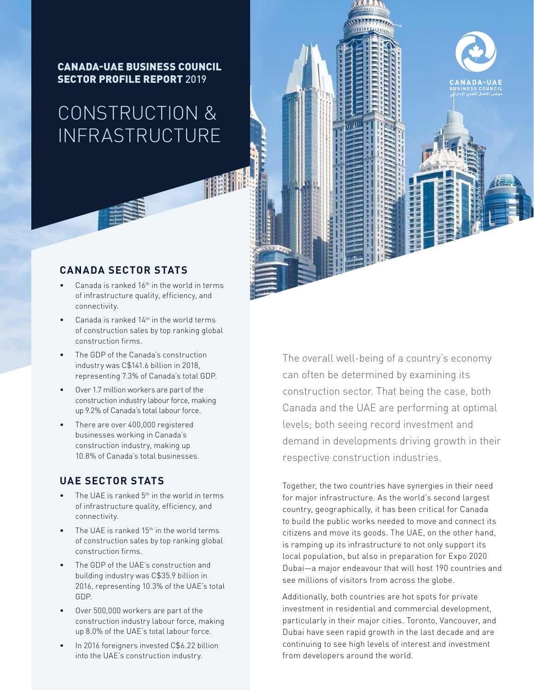CANADA-UAE BUSINESS COUNCIL SECTOR PROFILE REPORT 2019

# CONSTRUCTION & INFRASTRUCTURE

## **CANADA SECTOR STATS**

- Canada is ranked  $16<sup>th</sup>$  in the world in terms of infrastructure quality, efficiency, and connectivity.
- Canada is ranked  $14<sup>th</sup>$  in the world terms of construction sales by top ranking global construction firms.
- The GDP of the Canada's construction industry was C\$141.6 billion in 2018, representing 7.3% of Canada's total GDP.
- Over 1.7 million workers are part of the construction industry labour force, making up 9.2% of Canada's total labour force.
- There are over 400,000 registered businesses working in Canada's construction industry, making up 10.8% of Canada's total businesses.

## **UAE SECTOR STATS**

- The UAE is ranked 5<sup>th</sup> in the world in terms of infrastructure quality, efficiency, and connectivity.
- The UAE is ranked  $15<sup>th</sup>$  in the world terms of construction sales by top ranking global construction firms.
- The GDP of the UAE's construction and building industry was C\$35.9 billion in 2016, representing 10.3% of the UAE's total GDP.
- Over 500,000 workers are part of the construction industry labour force, making up 8.0% of the UAE's total labour force.
- In 2016 foreigners invested C\$6.22 billion into the UAE's construction industry.

The overall well-being of a country's economy can often be determined by examining its construction sector. That being the case, both Canada and the UAE are performing at optimal levels; both seeing record investment and demand in developments driving growth in their respective construction industries.

Together, the two countries have synergies in their need for major infrastructure. As the world's second largest country, geographically, it has been critical for Canada to build the public works needed to move and connect its citizens and move its goods. The UAE, on the other hand, is ramping up its infrastructure to not only support its local population, but also in preparation for Expo 2020 Dubai—a major endeavour that will host 190 countries and see millions of visitors from across the globe.

Additionally, both countries are hot spots for private investment in residential and commercial development, particularly in their major cities. Toronto, Vancouver, and Dubai have seen rapid growth in the last decade and are continuing to see high levels of interest and investment from developers around the world.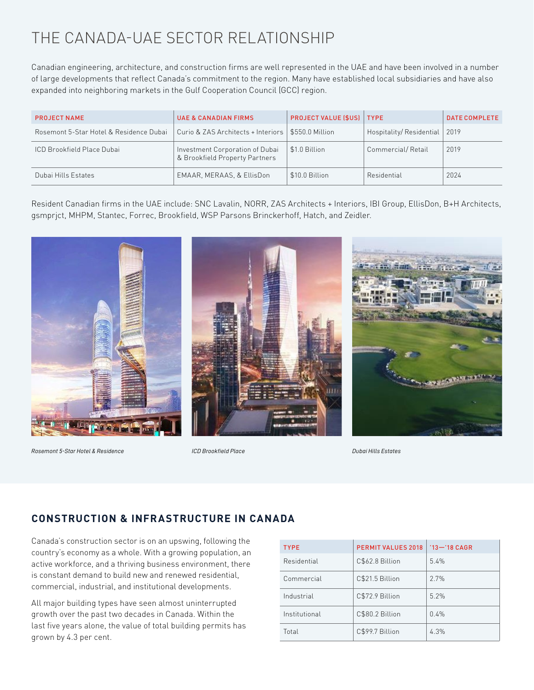## THE CANADA-UAE SECTOR RELATIONSHIP

Canadian engineering, architecture, and construction firms are well represented in the UAE and have been involved in a number of large developments that reflect Canada's commitment to the region. Many have established local subsidiaries and have also expanded into neighboring markets in the Gulf Cooperation Council (GCC) region.

| <b>PROJECT NAME</b>                     | <b>UAE &amp; CANADIAN FIRMS</b>                                   | <b>PROJECT VALUE (\$US)   TYPE</b> |                              | <b>DATE COMPLETE</b> |
|-----------------------------------------|-------------------------------------------------------------------|------------------------------------|------------------------------|----------------------|
| Rosemont 5-Star Hotel & Residence Dubai | Curio & ZAS Architects + Interiors                                | $\parallel$ \$550.0 Million        | Hospitality/Residential 2019 |                      |
| <b>ICD Brookfield Place Dubai</b>       | Investment Corporation of Dubai<br>& Brookfield Property Partners | \$1.0 Billion                      | Commercial/Retail            | 2019                 |
| Dubai Hills Estates                     | EMAAR, MERAAS, & EllisDon                                         | \$10.0 Billion                     | Residential                  | 2024                 |

Resident Canadian firms in the UAE include: SNC Lavalin, NORR, ZAS Architects + Interiors, IBI Group, EllisDon, B+H Architects, gsmprjct, MHPM, Stantec, Forrec, Brookfield, WSP Parsons Brinckerhoff, Hatch, and Zeidler.



*Rosemont 5-Star Hotel & Residence ICD Brookfield Place Dubai Hills Estates*

## **CONSTRUCTION & INFRASTRUCTURE IN CANADA**

Canada's construction sector is on an upswing, following the country's economy as a whole. With a growing population, an active workforce, and a thriving business environment, there is constant demand to build new and renewed residential, commercial, industrial, and institutional developments.

All major building types have seen almost uninterrupted growth over the past two decades in Canada. Within the last five years alone, the value of total building permits has grown by 4.3 per cent.

| <b>TYPE</b>   | <b>PERMIT VALUES 2018</b> | $'13 - '18 CAGR$ |
|---------------|---------------------------|------------------|
| Residential   | C\$62.8 Billion           | 5.4%             |
| Commercial    | C\$21.5 Billion           | 2.7%             |
| Industrial    | C\$72.9 Billion           | 5.2%             |
| Institutional | C\$80.2 Billion           | 0.4%             |
| Total         | C\$99.7 Billion           | 4.3%             |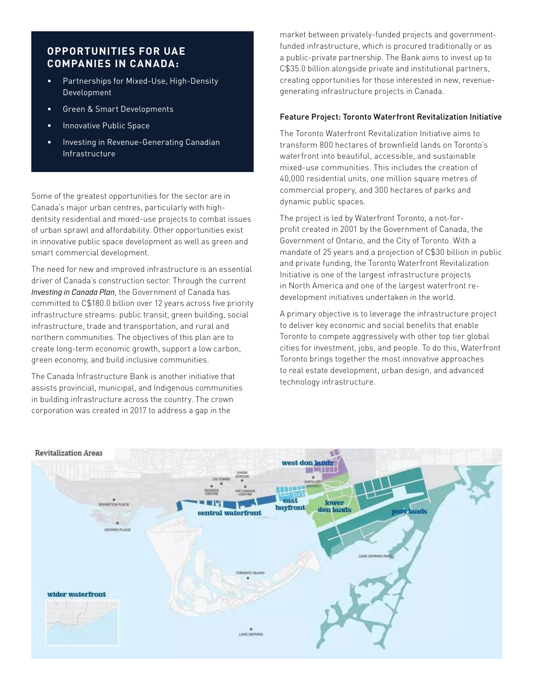## **OPPORTUNITIES FOR UAE COMPANIES IN CANADA:**

- Partnerships for Mixed-Use, High-Density Development
- Green & Smart Developments
- Innovative Public Space
- Investing in Revenue-Generating Canadian Infrastructure

Some of the greatest opportunities for the sector are in Canada's major urban centres, particularly with highdentsity residential and mixed-use projects to combat issues of urban sprawl and affordability. Other opportunities exist in innovative public space development as well as green and smart commercial development.

The need for new and improved infrastructure is an essential driver of Canada's construction sector. Through the current *Investing in Canada Plan*, the Government of Canada has committed to C\$180.0 billion over 12 years across five priority infrastructure streams: public transit, green building, social infrastructure, trade and transportation, and rural and northern communities. The objectives of this plan are to create long-term economic growth, support a low carbon, green economy, and build inclusive communities.

The Canada Infrastructure Bank is another initiative that assists provincial, municipal, and Indigenous communities in building infrastructure across the country. The crown corporation was created in 2017 to address a gap in the

market between privately-funded projects and governmentfunded infrastructure, which is procured traditionally or as a public-private partnership. The Bank aims to invest up to C\$35.0 billion alongside private and institutional partners, creating opportunities for those interested in new, revenuegenerating infrastructure projects in Canada.

#### Feature Project: Toronto Waterfront Revitalization Initiative

The Toronto Waterfront Revitalization Initiative aims to transform 800 hectares of brownfield lands on Toronto's waterfront into beautiful, accessible, and sustainable mixed-use communities. This includes the creation of 40,000 residential units, one million square metres of commercial propery, and 300 hectares of parks and dynamic public spaces.

The project is led by Waterfront Toronto, a not-forprofit created in 2001 by the Government of Canada, the Government of Ontario, and the City of Toronto. With a mandate of 25 years and a projection of C\$30 billion in public and private funding, the Toronto Waterfront Revitalization Initiative is one of the largest infrastructure projects in North America and one of the largest waterfront redevelopment initiatives undertaken in the world.

A primary objective is to leverage the infrastructure project to deliver key economic and social benefits that enable Toronto to compete aggressively with other top tier global cities for investment, jobs, and people. To do this, Waterfront Toronto brings together the most innovative approaches to real estate development, urban design, and advanced technology infrastructure.

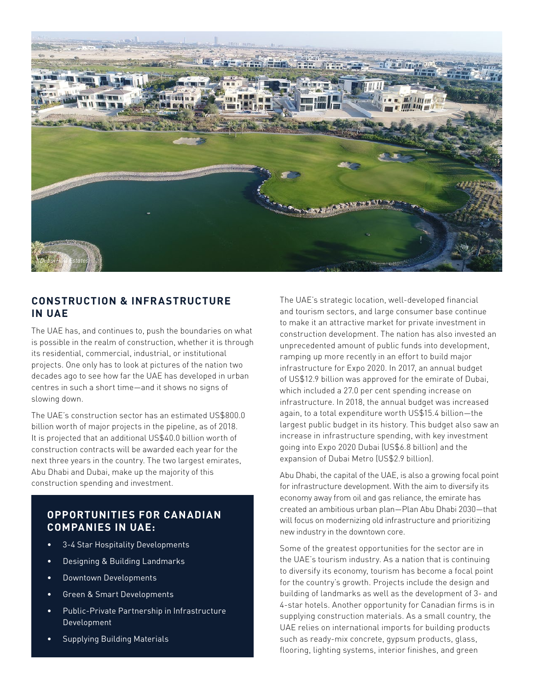

## **CONSTRUCTION & INFRASTRUCTURE IN UAE**

The UAE has, and continues to, push the boundaries on what is possible in the realm of construction, whether it is through its residential, commercial, industrial, or institutional projects. One only has to look at pictures of the nation two decades ago to see how far the UAE has developed in urban centres in such a short time—and it shows no signs of slowing down.

The UAE's construction sector has an estimated US\$800.0 billion worth of major projects in the pipeline, as of 2018. It is projected that an additional US\$40.0 billion worth of construction contracts will be awarded each year for the next three years in the country. The two largest emirates, Abu Dhabi and Dubai, make up the majority of this construction spending and investment.

## **OPPORTUNITIES FOR CANADIAN COMPANIES IN UAE:**

- 3-4 Star Hospitality Developments
- Designing & Building Landmarks
- Downtown Developments
- Green & Smart Developments
- Public-Private Partnership in Infrastructure Development
- Supplying Building Materials

The UAE's strategic location, well-developed financial and tourism sectors, and large consumer base continue to make it an attractive market for private investment in construction development. The nation has also invested an unprecedented amount of public funds into development, ramping up more recently in an effort to build major infrastructure for Expo 2020. In 2017, an annual budget of US\$12.9 billion was approved for the emirate of Dubai, which included a 27.0 per cent spending increase on infrastructure. In 2018, the annual budget was increased again, to a total expenditure worth US\$15.4 billion—the largest public budget in its history. This budget also saw an increase in infrastructure spending, with key investment going into Expo 2020 Dubai (US\$6.8 billion) and the expansion of Dubai Metro (US\$2.9 billion).

Abu Dhabi, the capital of the UAE, is also a growing focal point for infrastructure development. With the aim to diversify its economy away from oil and gas reliance, the emirate has created an ambitious urban plan—Plan Abu Dhabi 2030—that will focus on modernizing old infrastructure and prioritizing new industry in the downtown core.

Some of the greatest opportunities for the sector are in the UAE's tourism industry. As a nation that is continuing to diversify its economy, tourism has become a focal point for the country's growth. Projects include the design and building of landmarks as well as the development of 3- and 4-star hotels. Another opportunity for Canadian firms is in supplying construction materials. As a small country, the UAE relies on international imports for building products such as ready-mix concrete, gypsum products, glass, flooring, lighting systems, interior finishes, and green